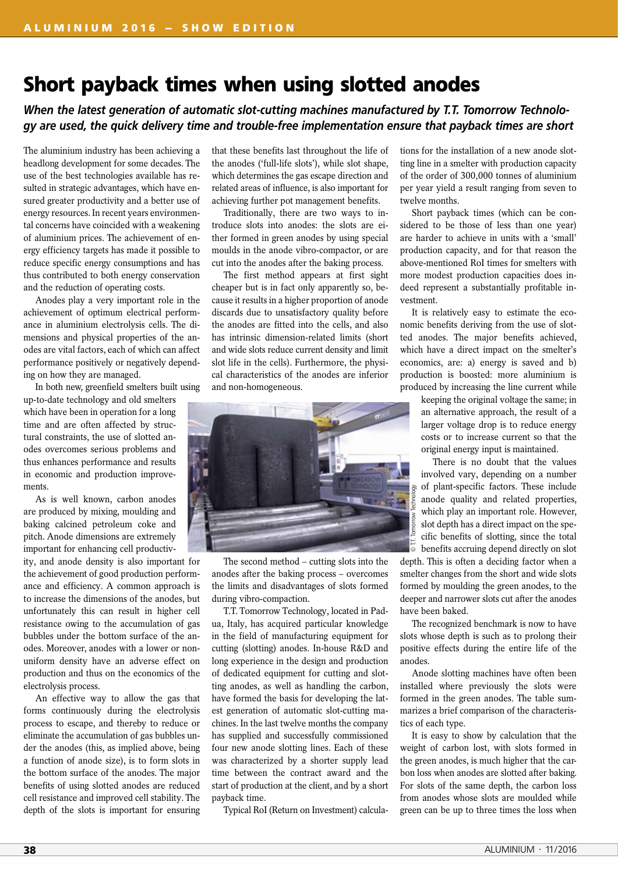## **Short payback times when using slotted anodes**

*When the latest generation of automatic slot-cutting machines manufactured by T.T. Tomorrow Technology are used, the quick delivery time and trouble-free implementation ensure that payback times are short*

The aluminium industry has been achieving a headlong development for some decades. The use of the best technologies available has resulted in strategic advantages, which have ensured greater productivity and a better use of energy resources. In recent years environmental concerns have coincided with a weakening of aluminium prices. The achievement of energy efficiency targets has made it possible to reduce specific energy consumptions and has thus contributed to both energy conservation and the reduction of operating costs.

Anodes play a very important role in the achievement of optimum electrical performance in aluminium electrolysis cells. The dimensions and physical properties of the anodes are vital factors, each of which can affect performance positively or negatively depending on how they are managed.

In both new, greenfield smelters built using

up-to-date technology and old smelters which have been in operation for a long time and are often affected by structural constraints, the use of slotted anodes overcomes serious problems and thus enhances performance and results in economic and production improvements.

As is well known, carbon anodes are produced by mixing, moulding and baking calcined petroleum coke and pitch. Anode dimensions are extremely important for enhancing cell productiv-

ity, and anode density is also important for the achievement of good production performance and efficiency. A common approach is to increase the dimensions of the anodes, but unfortunately this can result in higher cell resistance owing to the accumulation of gas bubbles under the bottom surface of the anodes. Moreover, anodes with a lower or nonuniform density have an adverse effect on production and thus on the economics of the electrolysis process.

An effective way to allow the gas that forms continuously during the electrolysis process to escape, and thereby to reduce or eliminate the accumulation of gas bubbles under the anodes (this, as implied above, being a function of anode size), is to form slots in the bottom surface of the anodes. The major benefits of using slotted anodes are reduced cell resistance and improved cell stability. The depth of the slots is important for ensuring

that these benefits last throughout the life of the anodes ('full-life slots'), while slot shape, which determines the gas escape direction and related areas of influence, is also important for achieving further pot management benefits.

Traditionally, there are two ways to introduce slots into anodes: the slots are either formed in green anodes by using special moulds in the anode vibro-compactor, or are cut into the anodes after the baking process.

The first method appears at first sight cheaper but is in fact only apparently so, because it results in a higher proportion of anode discards due to unsatisfactory quality before the anodes are fitted into the cells, and also has intrinsic dimension-related limits (short and wide slots reduce current density and limit slot life in the cells). Furthermore, the physical characteristics of the anodes are inferior and non-homogeneous.



The second method – cutting slots into the anodes after the baking process – overcomes the limits and disadvantages of slots formed during vibro-compaction.

T.T. Tomorrow Technology, located in Padua, Italy, has acquired particular knowledge in the field of manufacturing equipment for cutting (slotting) anodes. In-house R&D and long experience in the design and production of dedicated equipment for cutting and slotting anodes, as well as handling the carbon, have formed the basis for developing the latest generation of automatic slot-cutting machines. In the last twelve months the company has supplied and successfully commissioned four new anode slotting lines. Each of these was characterized by a shorter supply lead time between the contract award and the start of production at the client, and by a short payback time.

Typical RoI (Return on Investment) calcula-

tions for the installation of a new anode slotting line in a smelter with production capacity of the order of 300,000 tonnes of aluminium per year yield a result ranging from seven to twelve months.

Short payback times (which can be considered to be those of less than one year) are harder to achieve in units with a 'small' production capacity, and for that reason the above-mentioned RoI times for smelters with more modest production capacities does indeed represent a substantially profitable investment.

It is relatively easy to estimate the economic benefits deriving from the use of slotted anodes. The major benefits achieved, which have a direct impact on the smelter's economics, are: a) energy is saved and b) production is boosted: more aluminium is produced by increasing the line current while

> keeping the original voltage the same; in an alternative approach, the result of a larger voltage drop is to reduce energy costs or to increase current so that the original energy input is maintained.

> There is no doubt that the values involved vary, depending on a number of plant-specific factors. These include anode quality and related properties, which play an important role. However, slot depth has a direct impact on the specific benefits of slotting, since the total benefits accruing depend directly on slot

depth. This is often a deciding factor when a smelter changes from the short and wide slots formed by moulding the green anodes, to the deeper and narrower slots cut after the anodes have been baked.

The recognized benchmark is now to have slots whose depth is such as to prolong their positive effects during the entire life of the anodes.

Anode slotting machines have often been installed where previously the slots were formed in the green anodes. The table summarizes a brief comparison of the characteristics of each type.

It is easy to show by calculation that the weight of carbon lost, with slots formed in the green anodes, is much higher that the carbon loss when anodes are slotted after baking. For slots of the same depth, the carbon loss from anodes whose slots are moulded while green can be up to three times the loss when